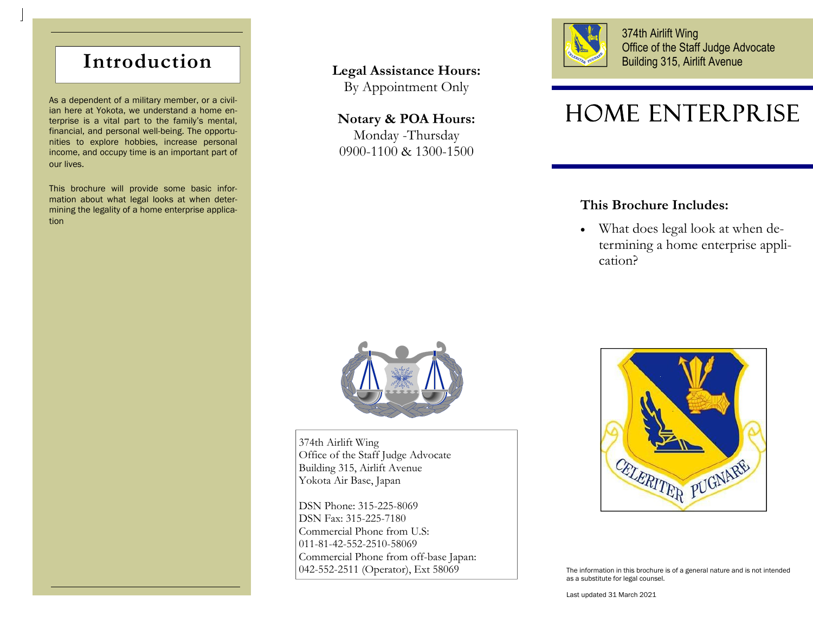# **Introduction**

As a dependent of a military member, or a civilian here at Yokota, we understand a home enterprise is a vital part to the family's mental, financial, and personal well-being. The opportunities to explore hobbies, increase personal income, and occupy time is an important part of our lives.

This brochure will provide some basic information about what legal looks at when determining the legality of a home enterprise application

## **Legal Assistance Hours:**

By Appointment Only

### **Notary & POA Hours:**

Monday -Thursday 0900-1100 & 1300-1500



374th Airlift Wing Office of the Staff Judge Advocate Building 315, Airlift Avenue

# Home Enterprise

# **This Brochure Includes:**

 What does legal look at when determining a home enterprise application?



374th Airlift Wing Office of the Staff Judge Advocate Building 315, Airlift Avenue Yokota Air Base, Japan

DSN Phone: 315-225-8069 DSN Fax: 315-225-7180 Commercial Phone from U.S: 011-81-42-552-2510-58069 Commercial Phone from off-base Japan: 042-552-2511 (Operator), Ext 58069



The information in this brochure is of a general nature and is not intended as a substitute for legal counsel.